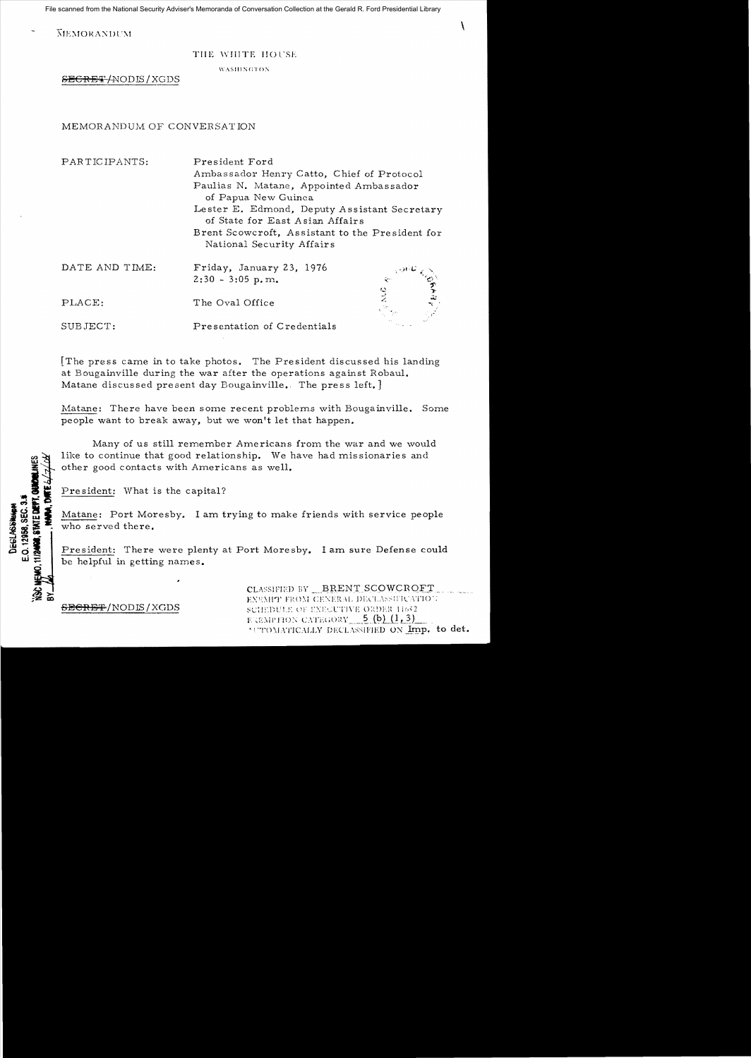File scanned from the National Security Adviser's Memoranda of Conversation Collection at the Gerald R. Ford Presidential Library

**MEMORANDUM** 

## THE WHITE HOUSE

WASHINGTON

SECRET/NODIS/XGDS

## MEMORANDUM OF CONVERSATION

PARTICIPANTS:

President Ford Ambassador Henry Catto, Chief of Protocol Paulias N. Matane, Appointed Ambassador of Papua New Guinea Lester E. Edmond, Deputy Assistant Secretary of State for East Asian Affairs Brent Scowcroft. Assistant to the President for National Security Affairs

J

| DATE AND TIME: | Friday, January 23, 1976<br>$2:30 - 3:05$ p.m. | ڪي شاهين - | $\phi$ |
|----------------|------------------------------------------------|------------|--------|
| PLACE:         | The Oval Office                                |            | للقباء |
| SUBJECT:       | Presentation of Credentials                    |            |        |

The press came in to take photos. The President discussed his landing at Bougainville during the war after the operations against Robaul. Matane discussed present day Bougainville. The press left.

Matane: There have been some recent problems with Bougainville. Some people want to break away, but we won't let that happen.

Many of us still remember Americans from the war and we would like to continue that good relationship. We have had missionaries and other good contacts with Americans as well.

President: What is the capital?

<del>SECRET</del>/NODIS/XGDS

Matane: Port Moresby. I am trying to make friends with service people who served there.

President: There were plenty at Port Moresby. I am sure Defense could be helpful in getting names.

> CLASSIFIED BY BRENT SCOWCROFT ENUMIT FROM CENERAL DECLASSIFICATION SCHEDULE OF ENECUTIVE ORDER 11652 EXEMPTION CATEGORY  $=$  5 (b)  $(1, 3)$ SUTOMATICALLY DECLASSIFIED ON Imp. to det.

11/2408. STATE DEPT. QUORLINI **MAN, DIA** E.O. 12958, SEC. 3.1 DEGLASSHIP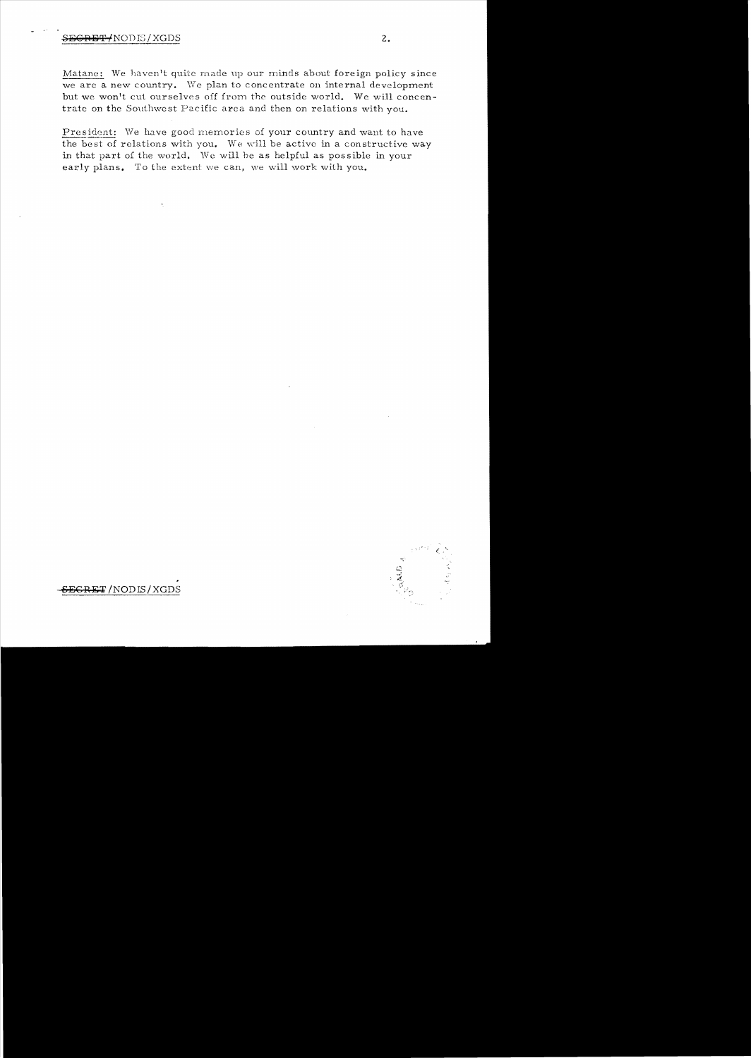Matane: We haven't quite made up our minds about foreign policy since we are a new country. We plan to concentrate on internal development but we won't cut ourselves off from the outside world. We will concentrate on the Southwest Pacific area and then on relations with you.

President: We have good memories of your country and want to have the best of relations with you. We will be active in a constructive way in that part of the world. We will be as helpful as possible in your early plans. To the extent we can, we will work with you.



GRET/NODIS/XGDS